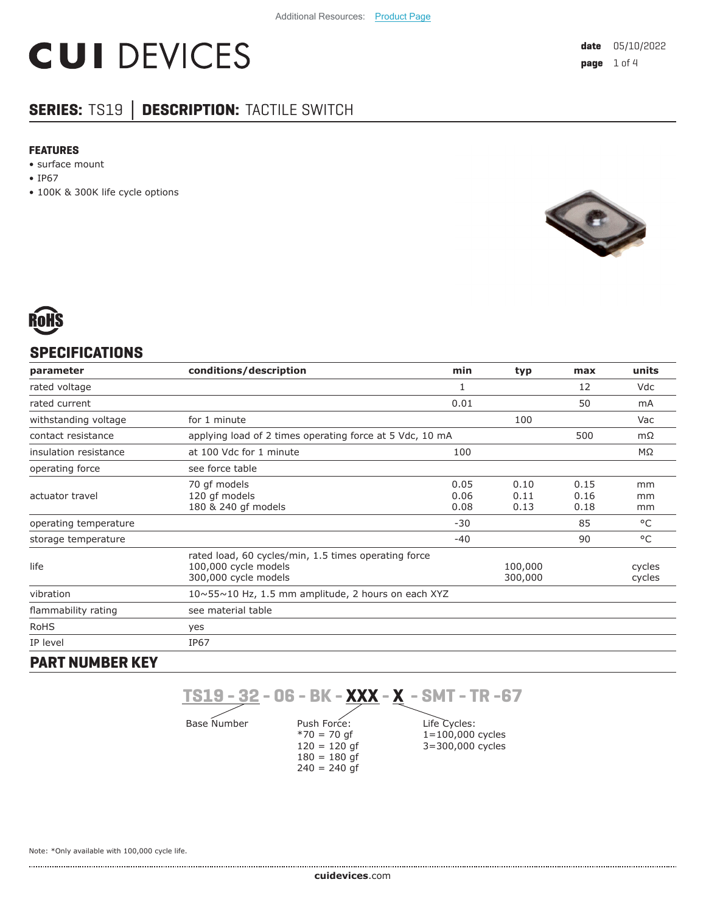# **CUI DEVICES**

# **SERIES:** TS19 **│ DESCRIPTION:** TACTILE SWITCH

#### **FEATURES**

• surface mount

- IP67
- 100K & 300K life cycle options





# **SPECIFICATIONS**

| parameter             | conditions/description                                                                               | min                  | typ                  | max                  | units            |
|-----------------------|------------------------------------------------------------------------------------------------------|----------------------|----------------------|----------------------|------------------|
| rated voltage         |                                                                                                      | 1                    |                      | 12                   | Vdc              |
| rated current         |                                                                                                      | 0.01                 |                      | 50                   | mA               |
| withstanding voltage  | for 1 minute                                                                                         |                      | 100                  |                      | Vac              |
| contact resistance    | applying load of 2 times operating force at 5 Vdc, 10 mA<br>500                                      |                      |                      | $m\Omega$            |                  |
| insulation resistance | at 100 Vdc for 1 minute                                                                              | 100                  |                      |                      | $M\Omega$        |
| operating force       | see force table                                                                                      |                      |                      |                      |                  |
| actuator travel       | 70 gf models<br>120 gf models<br>180 & 240 gf models                                                 | 0.05<br>0.06<br>0.08 | 0.10<br>0.11<br>0.13 | 0.15<br>0.16<br>0.18 | mm<br>mm<br>mm   |
| operating temperature |                                                                                                      | $-30$                |                      | 85                   | °C               |
| storage temperature   |                                                                                                      | $-40$                |                      | 90                   | °C               |
| life                  | rated load, 60 cycles/min, 1.5 times operating force<br>100,000 cycle models<br>300,000 cycle models |                      | 100,000<br>300,000   |                      | cycles<br>cycles |
| vibration             | $10 \sim 55 \sim 10$ Hz, 1.5 mm amplitude, 2 hours on each XYZ                                       |                      |                      |                      |                  |
| flammability rating   | see material table                                                                                   |                      |                      |                      |                  |
| <b>RoHS</b>           | yes                                                                                                  |                      |                      |                      |                  |
| IP level              | <b>IP67</b>                                                                                          |                      |                      |                      |                  |
|                       |                                                                                                      |                      |                      |                      |                  |

## **PART NUMBER KEY**

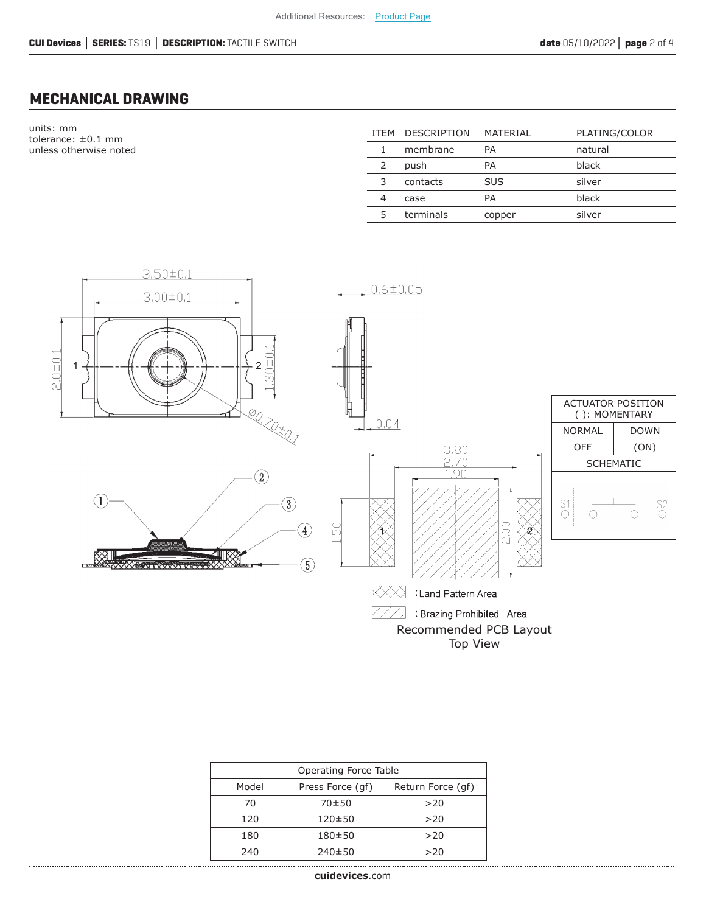# **MECHANICAL DRAWING**

units: mm tolerance: ±0.1 mm unless otherwise noted

| <b>ITFM</b> | <b>DESCRIPTION</b> | MATERIAL   | PLATING/COLOR |
|-------------|--------------------|------------|---------------|
|             | membrane           | PA         | natural       |
| 2           | push               | РA         | black         |
| 3           | contacts           | <b>SUS</b> | silver        |
| 4           | case               | РA         | black         |
|             | terminals          | copper     | silver        |



| Operating Force Table |                  |                   |
|-----------------------|------------------|-------------------|
| Model                 | Press Force (qf) | Return Force (gf) |
| 70                    | 70±50            | >20               |
| 120                   | $120 \pm 50$     | >20               |
| 180                   | $180 + 50$       | >20               |
| 240                   | $240 \pm 50$     | >20               |
|                       |                  |                   |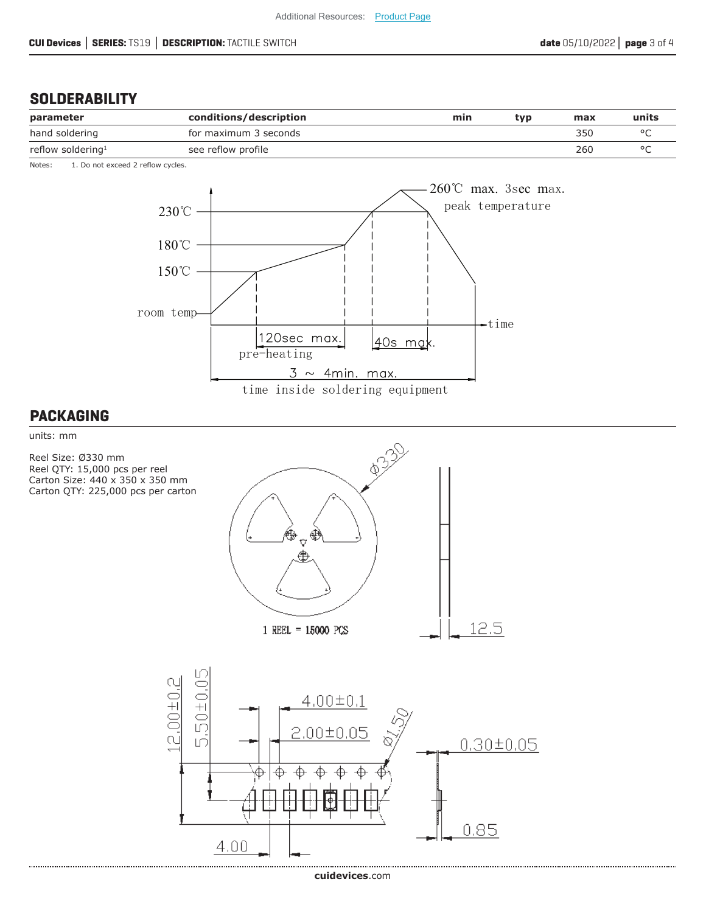## **SOLDERABILITY**

| parameter                     | conditions/description | min | tvp | max | units |
|-------------------------------|------------------------|-----|-----|-----|-------|
| hand soldering                | for maximum 3 seconds  |     |     | 350 |       |
| reflow soldering <sup>1</sup> | see reflow profile     |     |     | 260 |       |

Notes: 1. Do not exceed 2 reflow cycles.



#### **PACKAGING**